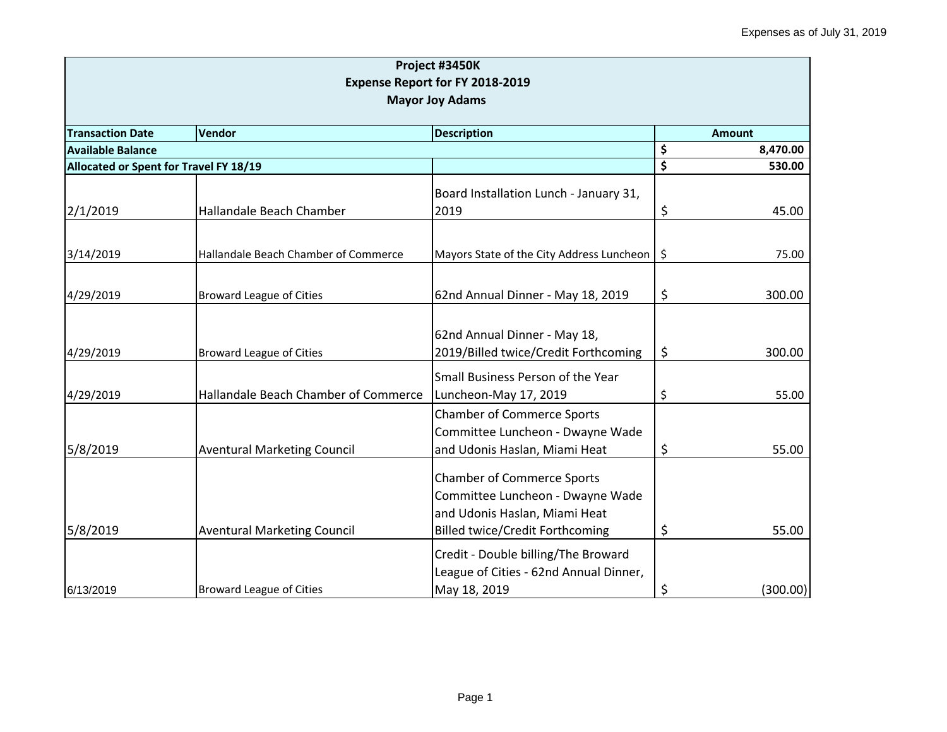|                                                         |                                      | Project #3450K                            |    |          |  |
|---------------------------------------------------------|--------------------------------------|-------------------------------------------|----|----------|--|
|                                                         |                                      | Expense Report for FY 2018-2019           |    |          |  |
| <b>Mayor Joy Adams</b>                                  |                                      |                                           |    |          |  |
| <b>Transaction Date</b><br>Vendor<br><b>Description</b> |                                      |                                           |    |          |  |
| <b>Available Balance</b>                                | <b>Amount</b><br>\$<br>8,470.00      |                                           |    |          |  |
| Allocated or Spent for Travel FY 18/19                  |                                      |                                           | \$ | 530.00   |  |
|                                                         |                                      |                                           |    |          |  |
|                                                         |                                      | Board Installation Lunch - January 31,    |    |          |  |
| 2/1/2019                                                | Hallandale Beach Chamber             | 2019                                      | \$ | 45.00    |  |
|                                                         |                                      |                                           |    |          |  |
| 3/14/2019                                               | Hallandale Beach Chamber of Commerce | Mayors State of the City Address Luncheon | \$ | 75.00    |  |
|                                                         |                                      |                                           |    |          |  |
| 4/29/2019                                               | <b>Broward League of Cities</b>      | 62nd Annual Dinner - May 18, 2019         | \$ | 300.00   |  |
|                                                         |                                      |                                           |    |          |  |
|                                                         |                                      |                                           |    |          |  |
|                                                         |                                      | 62nd Annual Dinner - May 18,              |    |          |  |
| 4/29/2019                                               | <b>Broward League of Cities</b>      | 2019/Billed twice/Credit Forthcoming      | \$ | 300.00   |  |
|                                                         |                                      | Small Business Person of the Year         |    |          |  |
| 4/29/2019                                               | Hallandale Beach Chamber of Commerce | Luncheon-May 17, 2019                     | \$ | 55.00    |  |
|                                                         |                                      | <b>Chamber of Commerce Sports</b>         |    |          |  |
|                                                         |                                      | Committee Luncheon - Dwayne Wade          |    |          |  |
| 5/8/2019                                                | <b>Aventural Marketing Council</b>   | and Udonis Haslan, Miami Heat             | \$ | 55.00    |  |
|                                                         |                                      | <b>Chamber of Commerce Sports</b>         |    |          |  |
|                                                         |                                      | Committee Luncheon - Dwayne Wade          |    |          |  |
|                                                         |                                      | and Udonis Haslan, Miami Heat             |    |          |  |
|                                                         |                                      |                                           |    | 55.00    |  |
| 5/8/2019                                                | <b>Aventural Marketing Council</b>   | <b>Billed twice/Credit Forthcoming</b>    | \$ |          |  |
|                                                         |                                      | Credit - Double billing/The Broward       |    |          |  |
|                                                         |                                      | League of Cities - 62nd Annual Dinner,    |    |          |  |
| 6/13/2019                                               | <b>Broward League of Cities</b>      | May 18, 2019                              | \$ | (300.00) |  |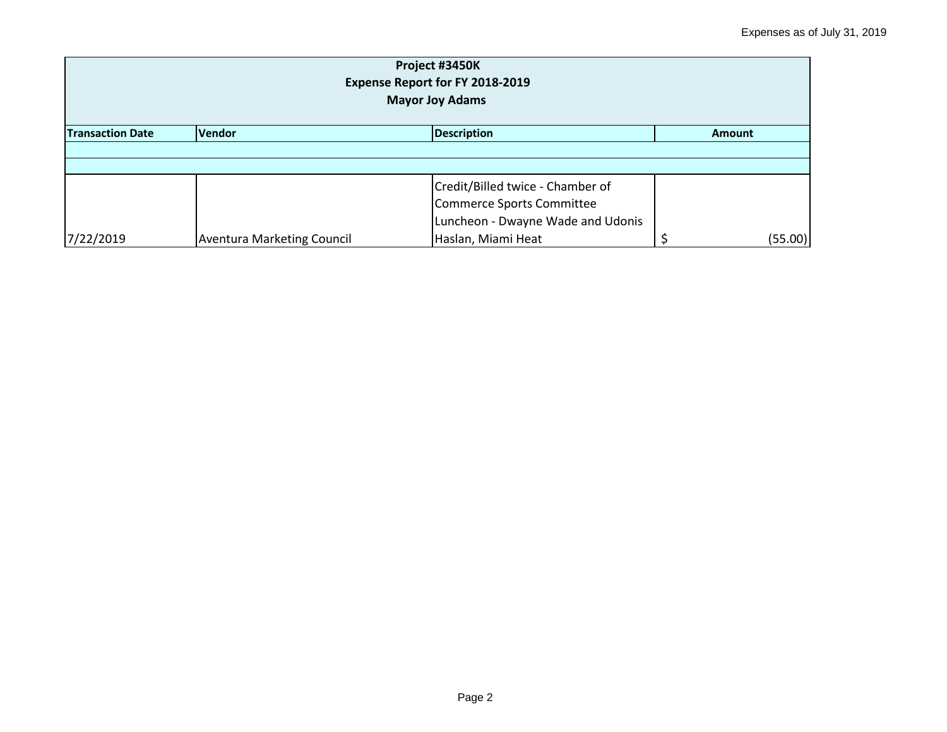| Project #3450K<br>Expense Report for FY 2018-2019<br><b>Mayor Joy Adams</b> |                                   |                                   |  |         |  |  |
|-----------------------------------------------------------------------------|-----------------------------------|-----------------------------------|--|---------|--|--|
| Vendor<br><b>Description</b><br><b>Transaction Date</b><br><b>Amount</b>    |                                   |                                   |  |         |  |  |
|                                                                             |                                   |                                   |  |         |  |  |
|                                                                             |                                   |                                   |  |         |  |  |
|                                                                             |                                   | Credit/Billed twice - Chamber of  |  |         |  |  |
|                                                                             |                                   | Commerce Sports Committee         |  |         |  |  |
|                                                                             |                                   | Luncheon - Dwayne Wade and Udonis |  |         |  |  |
| 7/22/2019                                                                   | <b>Aventura Marketing Council</b> | Haslan, Miami Heat                |  | (55.00) |  |  |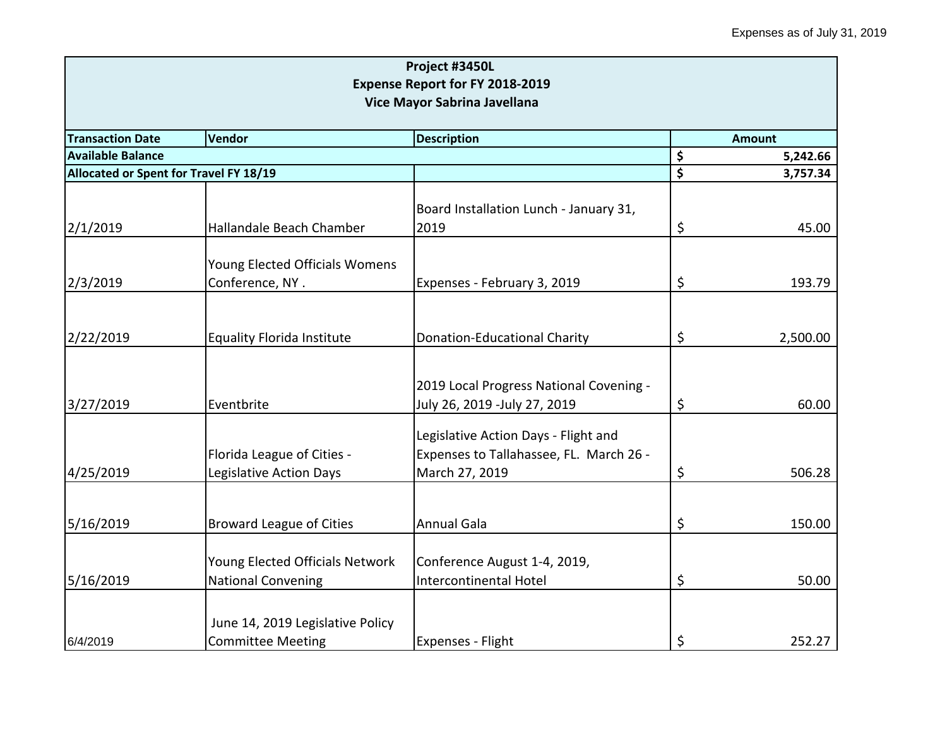|                                                          |                                   | Project #3450L                          |    |          |  |
|----------------------------------------------------------|-----------------------------------|-----------------------------------------|----|----------|--|
|                                                          |                                   | <b>Expense Report for FY 2018-2019</b>  |    |          |  |
| Vice Mayor Sabrina Javellana                             |                                   |                                         |    |          |  |
| <b>Transaction Date</b>                                  |                                   | <b>Amount</b>                           |    |          |  |
| Vendor<br><b>Description</b><br><b>Available Balance</b> |                                   |                                         | \$ | 5,242.66 |  |
| Allocated or Spent for Travel FY 18/19                   |                                   |                                         | \$ | 3,757.34 |  |
|                                                          |                                   |                                         |    |          |  |
|                                                          |                                   | Board Installation Lunch - January 31,  |    |          |  |
| 2/1/2019                                                 | Hallandale Beach Chamber          | 2019                                    | \$ | 45.00    |  |
|                                                          |                                   |                                         |    |          |  |
|                                                          | Young Elected Officials Womens    |                                         |    |          |  |
| 2/3/2019                                                 | Conference, NY.                   | Expenses - February 3, 2019             | \$ | 193.79   |  |
|                                                          |                                   |                                         |    |          |  |
| 2/22/2019                                                | <b>Equality Florida Institute</b> | <b>Donation-Educational Charity</b>     | \$ | 2,500.00 |  |
|                                                          |                                   |                                         |    |          |  |
|                                                          |                                   |                                         |    |          |  |
|                                                          |                                   | 2019 Local Progress National Covening - |    |          |  |
| 3/27/2019                                                | Eventbrite                        | July 26, 2019 -July 27, 2019            | \$ | 60.00    |  |
|                                                          |                                   | Legislative Action Days - Flight and    |    |          |  |
|                                                          | Florida League of Cities -        | Expenses to Tallahassee, FL. March 26 - |    |          |  |
| 4/25/2019                                                | Legislative Action Days           | March 27, 2019                          | \$ | 506.28   |  |
|                                                          |                                   |                                         |    |          |  |
|                                                          |                                   |                                         |    |          |  |
| 5/16/2019                                                | <b>Broward League of Cities</b>   | <b>Annual Gala</b>                      | \$ | 150.00   |  |
|                                                          |                                   |                                         |    |          |  |
|                                                          | Young Elected Officials Network   | Conference August 1-4, 2019,            |    |          |  |
| 5/16/2019                                                | <b>National Convening</b>         | Intercontinental Hotel                  | \$ | 50.00    |  |
|                                                          |                                   |                                         |    |          |  |
|                                                          | June 14, 2019 Legislative Policy  |                                         |    |          |  |
| 6/4/2019                                                 | <b>Committee Meeting</b>          | Expenses - Flight                       | \$ | 252.27   |  |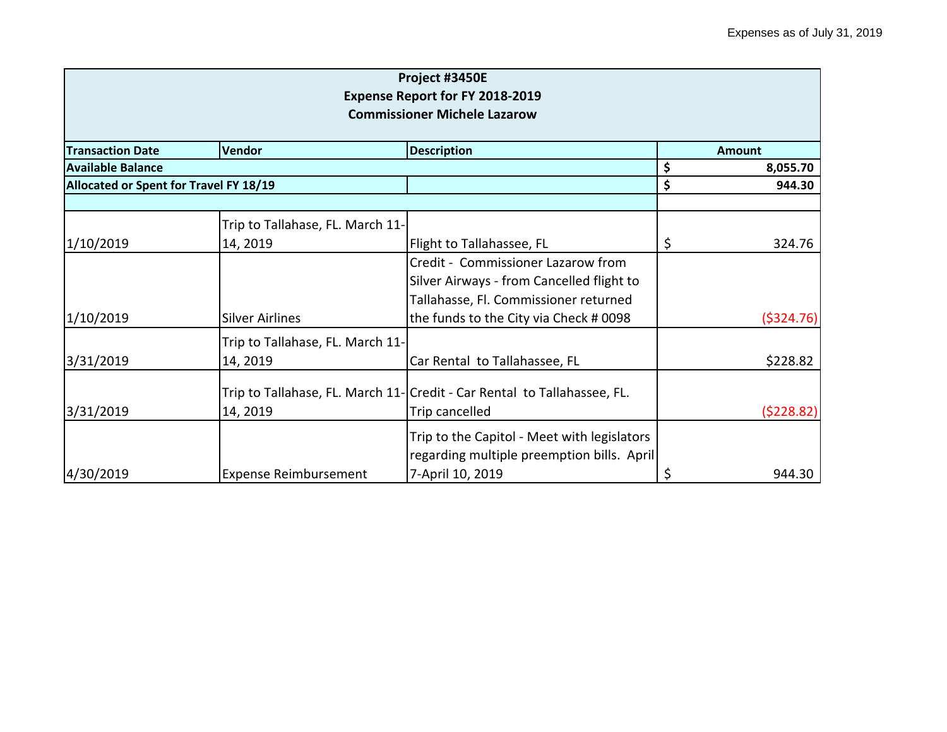|                                        |                                        | Project #3450E                                                          |    |               |  |
|----------------------------------------|----------------------------------------|-------------------------------------------------------------------------|----|---------------|--|
| <b>Expense Report for FY 2018-2019</b> |                                        |                                                                         |    |               |  |
|                                        |                                        | <b>Commissioner Michele Lazarow</b>                                     |    |               |  |
| <b>Transaction Date</b>                | Vendor                                 | <b>Description</b>                                                      |    | <b>Amount</b> |  |
| <b>Available Balance</b>               |                                        |                                                                         | \$ | 8,055.70      |  |
|                                        | Allocated or Spent for Travel FY 18/19 |                                                                         | \$ | 944.30        |  |
|                                        |                                        |                                                                         |    |               |  |
|                                        | Trip to Tallahase, FL. March 11-       |                                                                         |    |               |  |
| 1/10/2019                              | 14, 2019                               | Flight to Tallahassee, FL                                               | \$ | 324.76        |  |
|                                        |                                        | Credit - Commissioner Lazarow from                                      |    |               |  |
|                                        |                                        | Silver Airways - from Cancelled flight to                               |    |               |  |
|                                        |                                        | Tallahasse, Fl. Commissioner returned                                   |    |               |  |
| 1/10/2019                              | <b>Silver Airlines</b>                 | the funds to the City via Check # 0098                                  |    | (5324.76)     |  |
|                                        | Trip to Tallahase, FL. March 11-       |                                                                         |    |               |  |
| 3/31/2019                              | 14, 2019                               | Car Rental to Tallahassee, FL                                           |    | \$228.82      |  |
|                                        |                                        | Trip to Tallahase, FL. March 11-Credit - Car Rental to Tallahassee, FL. |    |               |  |
| 3/31/2019                              | 14, 2019                               | Trip cancelled                                                          |    | (5228.82)     |  |
|                                        |                                        | Trip to the Capitol - Meet with legislators                             |    |               |  |
|                                        |                                        | regarding multiple preemption bills. April                              |    |               |  |
| 4/30/2019                              | <b>Expense Reimbursement</b>           | 7-April 10, 2019                                                        | \$ | 944.30        |  |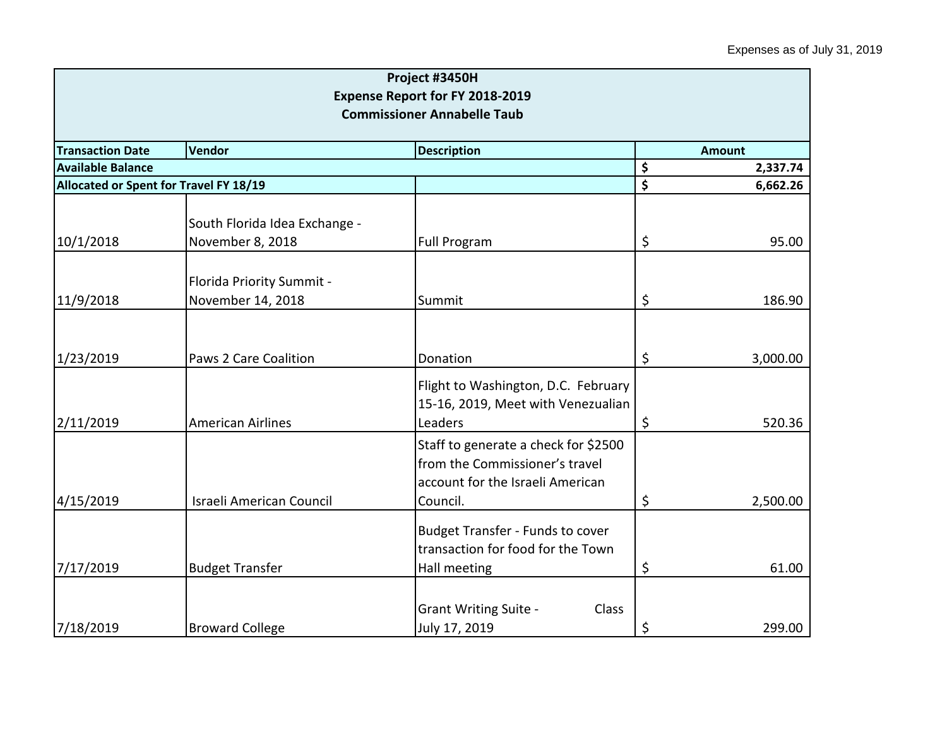| Project #3450H                                     |                               |                                                                              |                |          |  |
|----------------------------------------------------|-------------------------------|------------------------------------------------------------------------------|----------------|----------|--|
|                                                    |                               | <b>Expense Report for FY 2018-2019</b>                                       |                |          |  |
|                                                    |                               | <b>Commissioner Annabelle Taub</b>                                           |                |          |  |
| <b>Transaction Date</b><br>Vendor<br><b>Amount</b> |                               |                                                                              |                |          |  |
| <b>Description</b><br><b>Available Balance</b>     |                               |                                                                              | \$<br>2,337.74 |          |  |
| Allocated or Spent for Travel FY 18/19             |                               |                                                                              | \$             | 6,662.26 |  |
|                                                    |                               |                                                                              |                |          |  |
|                                                    | South Florida Idea Exchange - |                                                                              |                |          |  |
| 10/1/2018                                          | November 8, 2018              | Full Program                                                                 | \$             | 95.00    |  |
|                                                    |                               |                                                                              |                |          |  |
|                                                    | Florida Priority Summit -     |                                                                              |                |          |  |
| 11/9/2018                                          | November 14, 2018             | Summit                                                                       | \$             | 186.90   |  |
|                                                    |                               |                                                                              |                |          |  |
|                                                    |                               |                                                                              |                |          |  |
| 1/23/2019                                          | Paws 2 Care Coalition         | Donation                                                                     | \$             | 3,000.00 |  |
|                                                    |                               | Flight to Washington, D.C. February                                          |                |          |  |
|                                                    |                               | 15-16, 2019, Meet with Venezualian                                           |                |          |  |
| 2/11/2019                                          | <b>American Airlines</b>      | Leaders                                                                      | \$             | 520.36   |  |
|                                                    |                               | Staff to generate a check for \$2500                                         |                |          |  |
|                                                    |                               | from the Commissioner's travel                                               |                |          |  |
|                                                    |                               | account for the Israeli American                                             |                |          |  |
| 4/15/2019                                          | Israeli American Council      | Council.                                                                     | \$             | 2,500.00 |  |
|                                                    |                               |                                                                              |                |          |  |
|                                                    |                               | <b>Budget Transfer - Funds to cover</b><br>transaction for food for the Town |                |          |  |
| 7/17/2019                                          | <b>Budget Transfer</b>        | Hall meeting                                                                 | \$             | 61.00    |  |
|                                                    |                               |                                                                              |                |          |  |
|                                                    |                               | <b>Grant Writing Suite -</b><br>Class                                        |                |          |  |
| 7/18/2019                                          | <b>Broward College</b>        | July 17, 2019                                                                | \$             | 299.00   |  |
|                                                    |                               |                                                                              |                |          |  |